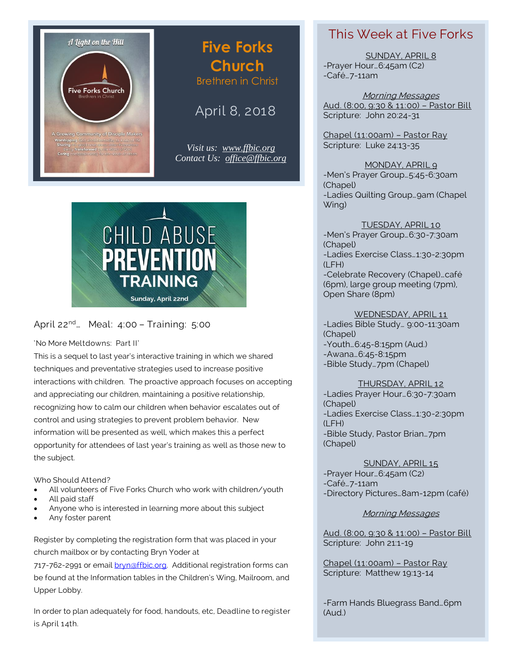

# **Five Forks Church** Brethren in Christ

# April 8, 2018

*Visit us: [www.ffbic.org](http://www.ffbic.org/) Contact Us: [office@ffbic.org](mailto:office@ffbic.org)*



#### April 22<sup>nd</sup>… Meal: 4:00 - Training: 5:00

#### 'No More Meltdowns: Part II'

This is a sequel to last year's interactive training in which we shared techniques and preventative strategies used to increase positive interactions with children. The proactive approach focuses on accepting and appreciating our children, maintaining a positive relationship, recognizing how to calm our children when behavior escalates out of control and using strategies to prevent problem behavior. New information will be presented as well, which makes this a perfect opportunity for attendees of last year's training as well as those new to the subject.

Who Should Attend?

- All volunteers of Five Forks Church who work with children/youth
- All paid staff
- Anyone who is interested in learning more about this subject
- Any foster parent

Register by completing the registration form that was placed in your church mailbox or by contacting Bryn Yoder at

717-762-2991 or email [bryn@ffbic.org.](mailto:bryn@ffbic.org) Additional registration forms can be found at the Information tables in the Children's Wing, Mailroom, and Upper Lobby.

In order to plan adequately for food, handouts, etc, Deadline to register is April 14th.

## This Week at Five Forks

SUNDAY, APRIL 8 -Prayer Hour…6:45am (C2) -Café…7-11am

Morning Messages Aud. (8:00, 9:30 & 11:00) – Pastor Bill Scripture: John 20:24-31

Chapel (11:00am) – Pastor Ray Scripture: Luke 24:13-35

MONDAY, APRIL 9 -Men's Prayer Group…5:45-6:30am (Chapel) -Ladies Quilting Group…9am (Chapel Wing)

TUESDAY, APRIL 10

-Men's Prayer Group…6:30-7:30am (Chapel) -Ladies Exercise Class…1:30-2:30pm (LFH) -Celebrate Recovery (Chapel)…café (6pm), large group meeting (7pm), Open Share (8pm)

WEDNESDAY, APRIL 11

-Ladies Bible Study… 9:00-11:30am (Chapel) -Youth…6:45-8:15pm (Aud.) -Awana…6:45-8:15pm -Bible Study…7pm (Chapel)

THURSDAY, APRIL 12

-Ladies Prayer Hour…6:30-7:30am (Chapel) -Ladies Exercise Class…1:30-2:30pm (LFH) -Bible Study, Pastor Brian…7pm (Chapel)

SUNDAY, APRIL 15 -Prayer Hour…6:45am (C2) -Café…7-11am -Directory Pictures…8am-12pm (café)

Morning Messages

Aud. (8:00, 9:30 & 11:00) – Pastor Bill Scripture: John 21:1-19

Chapel (11:00am) – Pastor Ray Scripture: Matthew 19:13-14

-Farm Hands Bluegrass Band…6pm (Aud.)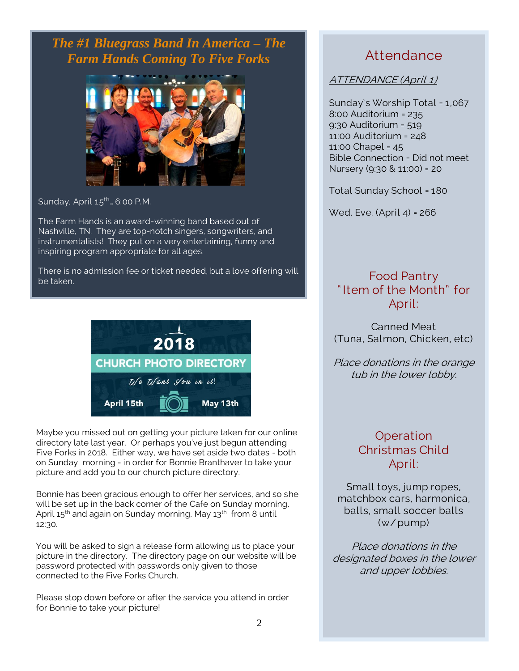*The #1 Bluegrass Band In America – The Farm Hands Coming To Five Forks*



Sunday, April  $15^{th}$ ... 6:00 P.M.

The Farm Hands is an award-winning band based out of Nashville, TN. They are top-notch singers, songwriters, and instrumentalists! They put on a very entertaining, funny and inspiring program appropriate for all ages.

There is no admission fee or ticket needed, but a love offering will be taken.



Maybe you missed out on getting your picture taken for our online directory late last year. Or perhaps you've just begun attending Five Forks in 2018. Either way, we have set aside two dates - both on Sunday morning - in order for Bonnie Branthaver to take your picture and add you to our church picture directory.

Bonnie has been gracious enough to offer her services, and so she will be set up in the back corner of the Cafe on Sunday morning, April  $15<sup>th</sup>$  and again on Sunday morning, May  $13<sup>th</sup>$  from 8 until 12:30.

You will be asked to sign a release form allowing us to place your picture in the directory. The directory page on our website will be password protected with passwords only given to those connected to the Five Forks Church.

Please stop down before or after the service you attend in order for Bonnie to take your picture!

# Attendance

ATTENDANCE (April 1)

Sunday's Worship Total = 1,067 8:00 Auditorium = 235 9:30 Auditorium = 519 11:00 Auditorium = 248 11:00 Chapel = 45 Bible Connection = Did not meet Nursery (9:30 & 11:00) = 20

Total Sunday School = 180

Wed. Eve. (April 4) = 266

## Food Pantry " Item of the Month" for April:

Canned Meat (Tuna, Salmon, Chicken, etc)

Place donations in the orange tub in the lower lobby.

### **Operation** Christmas Child April:

Small toys, jump ropes, matchbox cars, harmonica, balls, small soccer balls (w/pump)

Place donations in the designated boxes in the lower and upper lobbies.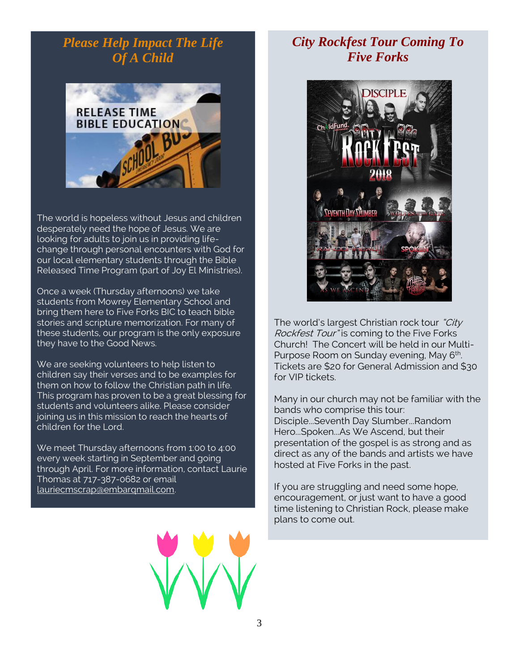# *Please Help Impact The Life Of A Child*



The world is hopeless without Jesus and children desperately need the hope of Jesus. We are looking for adults to join us in providing lifechange through personal encounters with God for our local elementary students through the Bible Released Time Program (part of Joy El Ministries).

Once a week (Thursday afternoons) we take students from Mowrey Elementary School and bring them here to Five Forks BIC to teach bible stories and scripture memorization. For many of these students, our program is the only exposure they have to the Good News.

We are seeking volunteers to help listen to children say their verses and to be examples for them on how to follow the Christian path in life. This program has proven to be a great blessing for students and volunteers alike. Please consider joining us in this mission to reach the hearts of children for the Lord.

We meet Thursday afternoons from 1:00 to 4:00 every week starting in September and going through April. For more information, contact Laurie Thomas at 717-387-0682 or email [lauriecmscrap@embarqmail.com.](mailto:lauriecmscrap@embarqmail.com)

# *City Rockfest Tour Coming To Five Forks*



The world's largest Christian rock tour "City" Rockfest Tour" is coming to the Five Forks Church! The Concert will be held in our Multi-Purpose Room on Sunday evening, May 6<sup>th</sup>. Tickets are \$20 for General Admission and \$30 for VIP tickets.

Many in our church may not be familiar with the bands who comprise this tour: Disciple...Seventh Day Slumber...Random Hero...Spoken...As We Ascend, but their presentation of the gospel is as strong and as direct as any of the bands and artists we have hosted at Five Forks in the past.

If you are struggling and need some hope, encouragement, or just want to have a good time listening to Christian Rock, please make plans to come out.

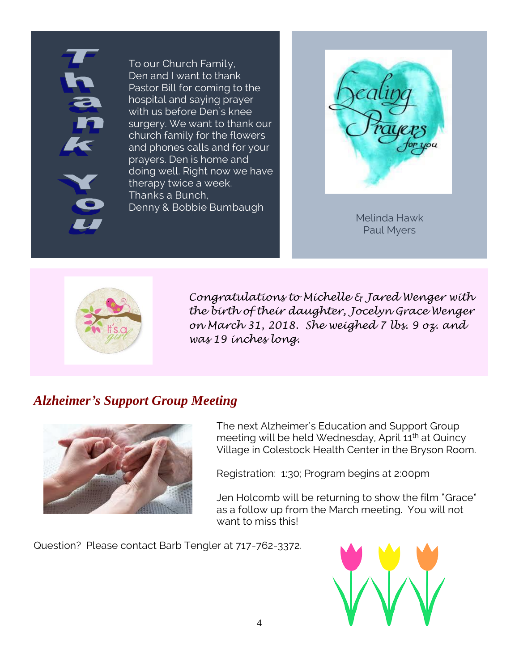To our Church Family, Den and I want to thank Pastor Bill for coming to the hospital and saying prayer with us before Den`s knee surgery. We want to thank our church family for the flowers and phones calls and for your prayers. Den is home and doing well. Right now we have therapy twice a week. Thanks a Bunch, Denny & Bobbie Bumbaugh



Melinda Hawk Paul Myers



*Congratulations to Michelle & Jared Wenger with the birth of their daughter, Jocelyn Grace Wenger on March 31, 2018. She weighed 7 lbs. 9 oz. and was 19 inches long.*

# *Alzheimer's Support Group Meeting*



The next Alzheimer's Education and Support Group meeting will be held Wednesday, April 11<sup>th</sup> at Quincy Village in Colestock Health Center in the Bryson Room.

Registration: 1:30; Program begins at 2:00pm

Jen Holcomb will be returning to show the film "Grace" as a follow up from the March meeting. You will not want to miss this!

Question? Please contact Barb Tengler at 717-762-3372.